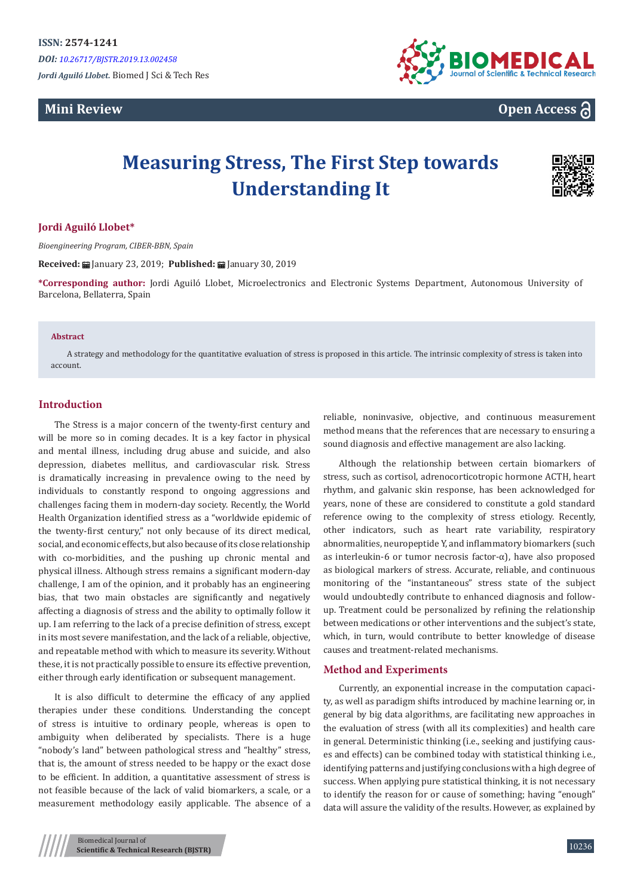**Mini Review** 



## **Open Access**

# **Measuring Stress, The First Step towards Understanding It**



#### **Jordi Aguiló Llobet\***

*Bioengineering Program, CIBER-BBN, Spain* 

**Received:** | January 23, 2019; Published: | January 30, 2019

**\*Corresponding author:** Jordi Aguiló Llobet, Microelectronics and Electronic Systems Department, Autonomous University of Barcelona, Bellaterra, Spain

#### **Abstract**

A strategy and methodology for the quantitative evaluation of stress is proposed in this article. The intrinsic complexity of stress is taken into account.

#### **Introduction**

The Stress is a major concern of the twenty-first century and will be more so in coming decades. It is a key factor in physical and mental illness, including drug abuse and suicide, and also depression, diabetes mellitus, and cardiovascular risk. Stress is dramatically increasing in prevalence owing to the need by individuals to constantly respond to ongoing aggressions and challenges facing them in modern-day society. Recently, the World Health Organization identified stress as a "worldwide epidemic of the twenty-first century," not only because of its direct medical, social, and economic effects, but also because of its close relationship with co-morbidities, and the pushing up chronic mental and physical illness. Although stress remains a significant modern-day challenge, I am of the opinion, and it probably has an engineering bias, that two main obstacles are significantly and negatively affecting a diagnosis of stress and the ability to optimally follow it up. I am referring to the lack of a precise definition of stress, except in its most severe manifestation, and the lack of a reliable, objective, and repeatable method with which to measure its severity. Without these, it is not practically possible to ensure its effective prevention, either through early identification or subsequent management.

It is also difficult to determine the efficacy of any applied therapies under these conditions. Understanding the concept of stress is intuitive to ordinary people, whereas is open to ambiguity when deliberated by specialists. There is a huge "nobody's land" between pathological stress and "healthy" stress, that is, the amount of stress needed to be happy or the exact dose to be efficient. In addition, a quantitative assessment of stress is not feasible because of the lack of valid biomarkers, a scale, or a measurement methodology easily applicable. The absence of a

reliable, noninvasive, objective, and continuous measurement method means that the references that are necessary to ensuring a sound diagnosis and effective management are also lacking.

Although the relationship between certain biomarkers of stress, such as cortisol, adrenocorticotropic hormone ACTH, heart rhythm, and galvanic skin response, has been acknowledged for years, none of these are considered to constitute a gold standard reference owing to the complexity of stress etiology. Recently, other indicators, such as heart rate variability, respiratory abnormalities, neuropeptide Y, and inflammatory biomarkers (such as interleukin-6 or tumor necrosis factor-α), have also proposed as biological markers of stress. Accurate, reliable, and continuous monitoring of the "instantaneous" stress state of the subject would undoubtedly contribute to enhanced diagnosis and followup. Treatment could be personalized by refining the relationship between medications or other interventions and the subject's state, which, in turn, would contribute to better knowledge of disease causes and treatment-related mechanisms.

#### **Method and Experiments**

Currently, an exponential increase in the computation capacity, as well as paradigm shifts introduced by machine learning or, in general by big data algorithms, are facilitating new approaches in the evaluation of stress (with all its complexities) and health care in general. Deterministic thinking (i.e., seeking and justifying causes and effects) can be combined today with statistical thinking i.e., identifying patterns and justifying conclusions with a high degree of success. When applying pure statistical thinking, it is not necessary to identify the reason for or cause of something; having "enough" data will assure the validity of the results. However, as explained by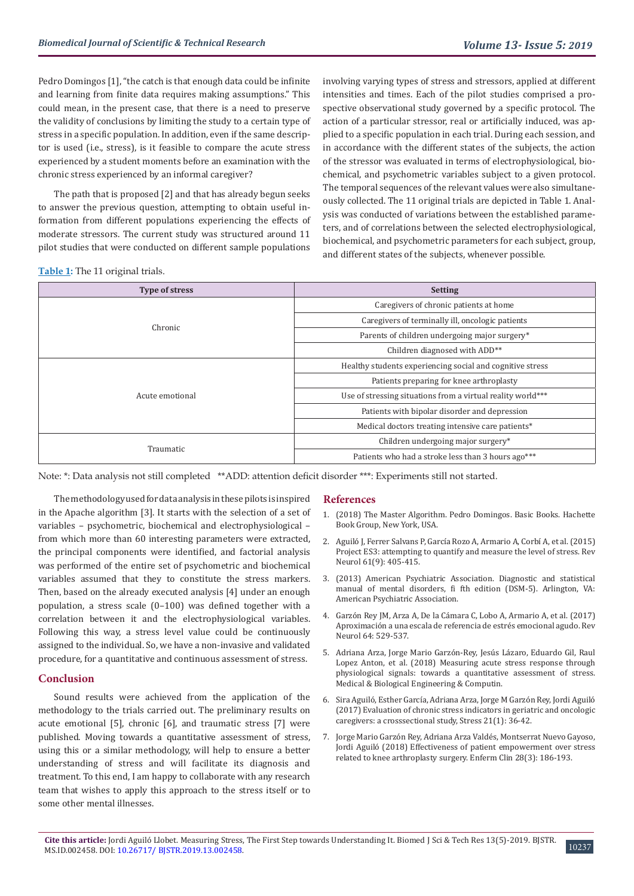Pedro Domingos [1], "the catch is that enough data could be infinite and learning from finite data requires making assumptions." This could mean, in the present case, that there is a need to preserve the validity of conclusions by limiting the study to a certain type of stress in a specific population. In addition, even if the same descriptor is used (i.e., stress), is it feasible to compare the acute stress experienced by a student moments before an examination with the chronic stress experienced by an informal caregiver?

The path that is proposed [2] and that has already begun seeks to answer the previous question, attempting to obtain useful information from different populations experiencing the effects of moderate stressors. The current study was structured around 11 pilot studies that were conducted on different sample populations

involving varying types of stress and stressors, applied at different intensities and times. Each of the pilot studies comprised a prospective observational study governed by a specific protocol. The action of a particular stressor, real or artificially induced, was applied to a specific population in each trial. During each session, and in accordance with the different states of the subjects, the action of the stressor was evaluated in terms of electrophysiological, biochemical, and psychometric variables subject to a given protocol. The temporal sequences of the relevant values were also simultaneously collected. The 11 original trials are depicted in Table 1. Analysis was conducted of variations between the established parameters, and of correlations between the selected electrophysiological, biochemical, and psychometric parameters for each subject, group, and different states of the subjects, whenever possible.

**Table 1:** The 11 original trials.

| <b>Type of stress</b> | <b>Setting</b>                                              |
|-----------------------|-------------------------------------------------------------|
| Chronic               | Caregivers of chronic patients at home                      |
|                       | Caregivers of terminally ill, oncologic patients            |
|                       | Parents of children undergoing major surgery*               |
|                       | Children diagnosed with ADD**                               |
| Acute emotional       | Healthy students experiencing social and cognitive stress   |
|                       | Patients preparing for knee arthroplasty                    |
|                       | Use of stressing situations from a virtual reality world*** |
|                       | Patients with bipolar disorder and depression               |
|                       | Medical doctors treating intensive care patients*           |
| Traumatic             | Children undergoing major surgery*                          |
|                       | Patients who had a stroke less than 3 hours ago***          |

Note: \*: Data analysis not still completed \*\*ADD: attention deficit disorder \*\*\*: Experiments still not started.

The methodology used for data analysis in these pilots is inspired in the Apache algorithm [3]. It starts with the selection of a set of variables – psychometric, biochemical and electrophysiological – from which more than 60 interesting parameters were extracted, the principal components were identified, and factorial analysis was performed of the entire set of psychometric and biochemical variables assumed that they to constitute the stress markers. Then, based on the already executed analysis [4] under an enough population, a stress scale (0–100) was defined together with a correlation between it and the electrophysiological variables. Following this way, a stress level value could be continuously assigned to the individual. So, we have a non-invasive and validated procedure, for a quantitative and continuous assessment of stress.

#### **Conclusion**

Sound results were achieved from the application of the methodology to the trials carried out. The preliminary results on acute emotional [5], chronic [6], and traumatic stress [7] were published. Moving towards a quantitative assessment of stress, using this or a similar methodology, will help to ensure a better understanding of stress and will facilitate its diagnosis and treatment. To this end, I am happy to collaborate with any research team that wishes to apply this approach to the stress itself or to some other mental illnesses.

#### **References**

- 1. [\(2018\) The Master Algorithm. Pedro Domingos. Basic Books. Hachette](https://www.basicbooks.com/titles/pedro-domingos/the-master-algorithm/9780465061921/) [Book Group, New York, USA.](https://www.basicbooks.com/titles/pedro-domingos/the-master-algorithm/9780465061921/)
- 2. [Aguiló J, Ferrer Salvans P, García Rozo A, Armario A, Corbí A, et al. \(2015\)](https://www.ncbi.nlm.nih.gov/pubmed/26503316) [Project ES3: attempting to quantify and measure the level of stress. Rev](https://www.ncbi.nlm.nih.gov/pubmed/26503316) [Neurol 61\(9\): 405-415.](https://www.ncbi.nlm.nih.gov/pubmed/26503316)
- 3. (2013) American Psychiatric Association. Diagnostic and statistical manual of mental disorders, fi fth edition (DSM-5). Arlington, VA: American Psychiatric Association.
- 4. [Garzón Rey JM, Arza A, De la Cámara C, Lobo A, Armario A, et al. \(2017\)](https://www.neurologia.com/articulo/2016509) [Aproximación a una escala de referencia de estrés emocional agudo. Rev](https://www.neurologia.com/articulo/2016509) [Neurol 64: 529-537.](https://www.neurologia.com/articulo/2016509)
- 5. [Adriana Arza, Jorge Mario Garzón-Rey, Jesús Lázaro, Eduardo Gil, Raul](https://www.researchgate.net/publication/326914635_Measuring_acute_stress_response_through_physiological_signals_towards_a_quantitative_assessment_of_stress) [Lopez Anton, et al. \(2018\) Measuring acute stress response through](https://www.researchgate.net/publication/326914635_Measuring_acute_stress_response_through_physiological_signals_towards_a_quantitative_assessment_of_stress) [physiological signals: towards a quantitative assessment of stress.](https://www.researchgate.net/publication/326914635_Measuring_acute_stress_response_through_physiological_signals_towards_a_quantitative_assessment_of_stress) [Medical & Biological Engineering & Computin.](https://www.researchgate.net/publication/326914635_Measuring_acute_stress_response_through_physiological_signals_towards_a_quantitative_assessment_of_stress)
- 6. [Sira Aguiló, Esther García, Adriana Arza, Jorge M Garzón Rey, Jordi Aguiló](https://www.ncbi.nlm.nih.gov/pubmed/29063803) [\(2017\) Evaluation of chronic stress indicators in geriatric and oncologic](https://www.ncbi.nlm.nih.gov/pubmed/29063803) [caregivers: a crosssectional study, Stress 21\(1\): 36-42.](https://www.ncbi.nlm.nih.gov/pubmed/29063803)
- 7. [Jorge Mario Garzón Rey, Adriana Arza Valdés, Montserrat Nuevo Gayoso,](https://www.ncbi.nlm.nih.gov/pubmed/29107452) [Jordi Aguiló \(2018\) Effectiveness of patient empowerment over stress](https://www.ncbi.nlm.nih.gov/pubmed/29107452) [related to knee arthroplasty surgery. Enferm Clin 28\(3\): 186-193.](https://www.ncbi.nlm.nih.gov/pubmed/29107452)